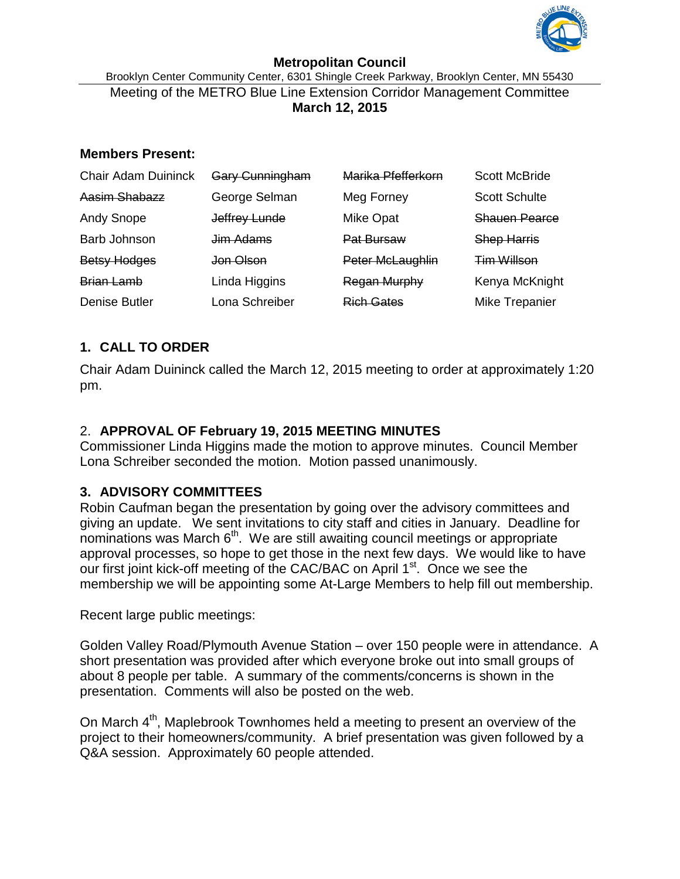

#### **Metropolitan Council**

Brooklyn Center Community Center, 6301 Shingle Creek Parkway, Brooklyn Center, MN 55430 Meeting of the METRO Blue Line Extension Corridor Management Committee **March 12, 2015**

#### **Members Present:**

| <b>Chair Adam Duininck</b> | <b>Gary Cunningham</b> | Marika Pfefferkorn  | <b>Scott McBride</b>  |
|----------------------------|------------------------|---------------------|-----------------------|
| Aasim Shabazz              | George Selman          | Meg Forney          | <b>Scott Schulte</b>  |
| <b>Andy Snope</b>          | Jeffrey Lunde          | <b>Mike Opat</b>    | <b>Shauen Pearce</b>  |
| Barb Johnson               | Jim Adams              | Pat Bursaw          | <b>Shep Harris</b>    |
| <b>Betsy Hodges</b>        | <del>Jon Olson</del>   | Peter McLaughlin    | <b>Tim Willson</b>    |
| <b>Brian Lamb</b>          | Linda Higgins          | <b>Regan Murphy</b> | Kenya McKnight        |
| <b>Denise Butler</b>       | Lona Schreiber         | <b>Rich Gates</b>   | <b>Mike Trepanier</b> |

## **1. CALL TO ORDER**

Chair Adam Duininck called the March 12, 2015 meeting to order at approximately 1:20 pm.

# 2. **APPROVAL OF February 19, 2015 MEETING MINUTES**

Commissioner Linda Higgins made the motion to approve minutes. Council Member Lona Schreiber seconded the motion. Motion passed unanimously.

## **3. ADVISORY COMMITTEES**

Robin Caufman began the presentation by going over the advisory committees and giving an update. We sent invitations to city staff and cities in January. Deadline for nominations was March  $6<sup>th</sup>$ . We are still awaiting council meetings or appropriate approval processes, so hope to get those in the next few days. We would like to have our first joint kick-off meeting of the CAC/BAC on April 1<sup>st</sup>. Once we see the membership we will be appointing some At-Large Members to help fill out membership.

Recent large public meetings:

Golden Valley Road/Plymouth Avenue Station – over 150 people were in attendance. A short presentation was provided after which everyone broke out into small groups of about 8 people per table. A summary of the comments/concerns is shown in the presentation. Comments will also be posted on the web.

On March 4<sup>th</sup>, Maplebrook Townhomes held a meeting to present an overview of the project to their homeowners/community. A brief presentation was given followed by a Q&A session. Approximately 60 people attended.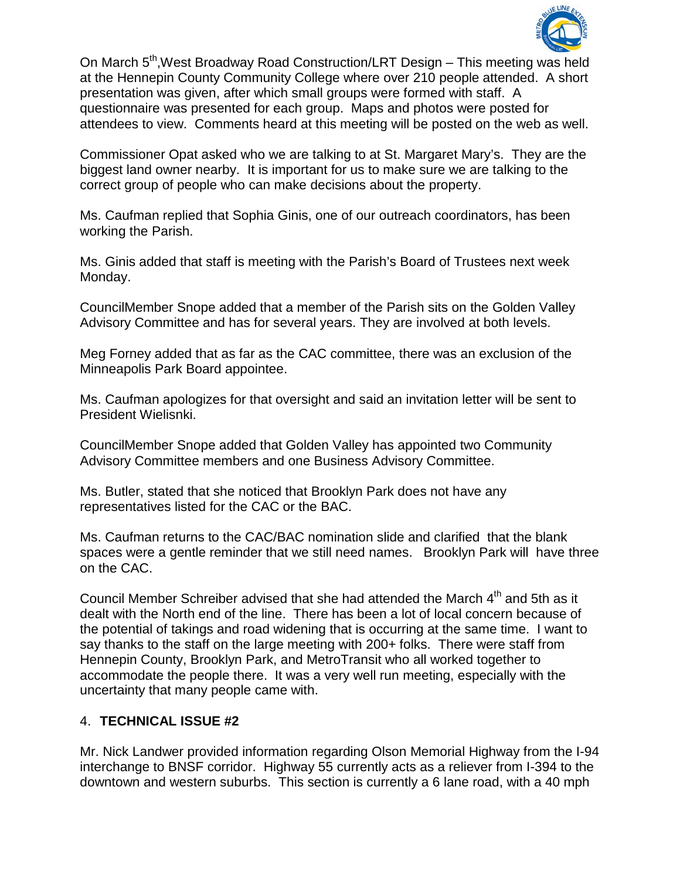

On March 5<sup>th</sup>, West Broadway Road Construction/LRT Design – This meeting was held at the Hennepin County Community College where over 210 people attended. A short presentation was given, after which small groups were formed with staff. A questionnaire was presented for each group. Maps and photos were posted for attendees to view. Comments heard at this meeting will be posted on the web as well.

Commissioner Opat asked who we are talking to at St. Margaret Mary's. They are the biggest land owner nearby. It is important for us to make sure we are talking to the correct group of people who can make decisions about the property.

Ms. Caufman replied that Sophia Ginis, one of our outreach coordinators, has been working the Parish.

Ms. Ginis added that staff is meeting with the Parish's Board of Trustees next week Monday.

CouncilMember Snope added that a member of the Parish sits on the Golden Valley Advisory Committee and has for several years. They are involved at both levels.

Meg Forney added that as far as the CAC committee, there was an exclusion of the Minneapolis Park Board appointee.

Ms. Caufman apologizes for that oversight and said an invitation letter will be sent to President Wielisnki.

CouncilMember Snope added that Golden Valley has appointed two Community Advisory Committee members and one Business Advisory Committee.

Ms. Butler, stated that she noticed that Brooklyn Park does not have any representatives listed for the CAC or the BAC.

Ms. Caufman returns to the CAC/BAC nomination slide and clarified that the blank spaces were a gentle reminder that we still need names. Brooklyn Park will have three on the CAC.

Council Member Schreiber advised that she had attended the March 4<sup>th</sup> and 5th as it dealt with the North end of the line. There has been a lot of local concern because of the potential of takings and road widening that is occurring at the same time. I want to say thanks to the staff on the large meeting with 200+ folks. There were staff from Hennepin County, Brooklyn Park, and MetroTransit who all worked together to accommodate the people there. It was a very well run meeting, especially with the uncertainty that many people came with.

## 4. **TECHNICAL ISSUE #2**

Mr. Nick Landwer provided information regarding Olson Memorial Highway from the I-94 interchange to BNSF corridor. Highway 55 currently acts as a reliever from I-394 to the downtown and western suburbs. This section is currently a 6 lane road, with a 40 mph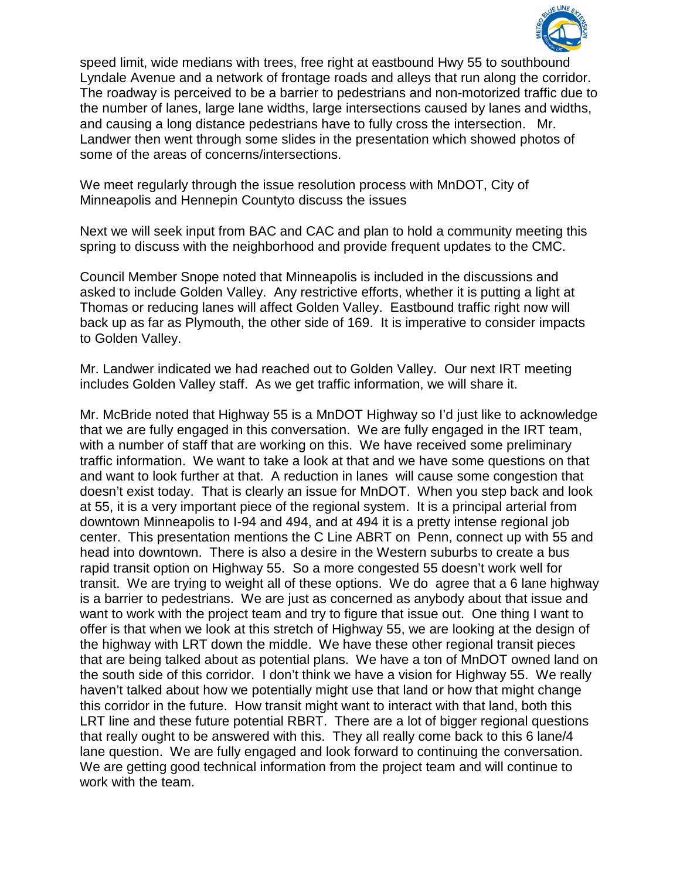

speed limit, wide medians with trees, free right at eastbound Hwy 55 to southbound Lyndale Avenue and a network of frontage roads and alleys that run along the corridor. The roadway is perceived to be a barrier to pedestrians and non-motorized traffic due to the number of lanes, large lane widths, large intersections caused by lanes and widths, and causing a long distance pedestrians have to fully cross the intersection. Mr. Landwer then went through some slides in the presentation which showed photos of some of the areas of concerns/intersections.

We meet regularly through the issue resolution process with MnDOT, City of Minneapolis and Hennepin Countyto discuss the issues

Next we will seek input from BAC and CAC and plan to hold a community meeting this spring to discuss with the neighborhood and provide frequent updates to the CMC.

Council Member Snope noted that Minneapolis is included in the discussions and asked to include Golden Valley. Any restrictive efforts, whether it is putting a light at Thomas or reducing lanes will affect Golden Valley. Eastbound traffic right now will back up as far as Plymouth, the other side of 169. It is imperative to consider impacts to Golden Valley.

Mr. Landwer indicated we had reached out to Golden Valley. Our next IRT meeting includes Golden Valley staff. As we get traffic information, we will share it.

Mr. McBride noted that Highway 55 is a MnDOT Highway so I'd just like to acknowledge that we are fully engaged in this conversation. We are fully engaged in the IRT team, with a number of staff that are working on this. We have received some preliminary traffic information. We want to take a look at that and we have some questions on that and want to look further at that. A reduction in lanes will cause some congestion that doesn't exist today. That is clearly an issue for MnDOT. When you step back and look at 55, it is a very important piece of the regional system. It is a principal arterial from downtown Minneapolis to I-94 and 494, and at 494 it is a pretty intense regional job center. This presentation mentions the C Line ABRT on Penn, connect up with 55 and head into downtown. There is also a desire in the Western suburbs to create a bus rapid transit option on Highway 55. So a more congested 55 doesn't work well for transit. We are trying to weight all of these options. We do agree that a 6 lane highway is a barrier to pedestrians. We are just as concerned as anybody about that issue and want to work with the project team and try to figure that issue out. One thing I want to offer is that when we look at this stretch of Highway 55, we are looking at the design of the highway with LRT down the middle. We have these other regional transit pieces that are being talked about as potential plans. We have a ton of MnDOT owned land on the south side of this corridor. I don't think we have a vision for Highway 55. We really haven't talked about how we potentially might use that land or how that might change this corridor in the future. How transit might want to interact with that land, both this LRT line and these future potential RBRT. There are a lot of bigger regional questions that really ought to be answered with this. They all really come back to this 6 lane/4 lane question. We are fully engaged and look forward to continuing the conversation. We are getting good technical information from the project team and will continue to work with the team.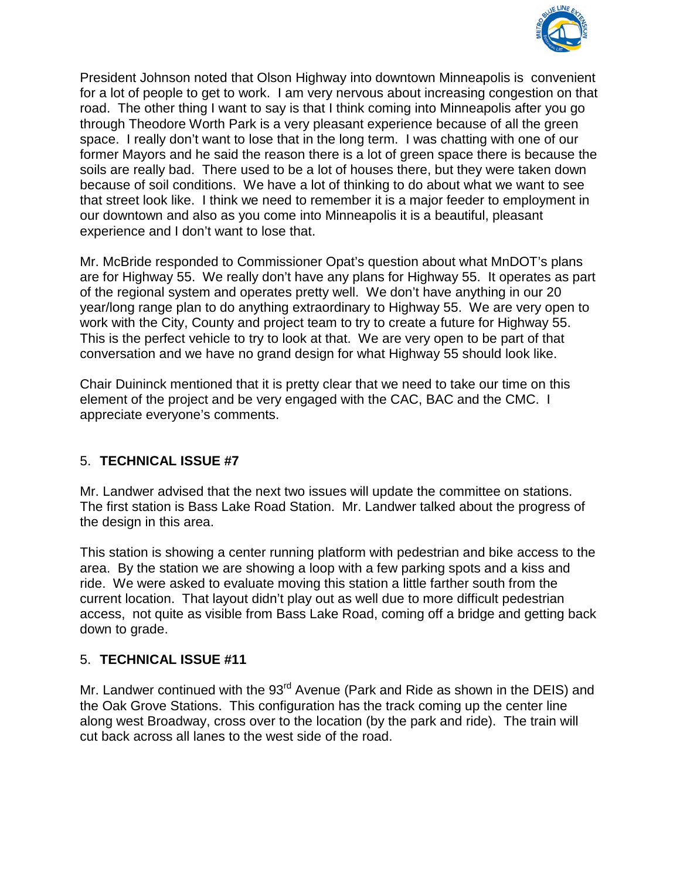

President Johnson noted that Olson Highway into downtown Minneapolis is convenient for a lot of people to get to work. I am very nervous about increasing congestion on that road. The other thing I want to say is that I think coming into Minneapolis after you go through Theodore Worth Park is a very pleasant experience because of all the green space. I really don't want to lose that in the long term. I was chatting with one of our former Mayors and he said the reason there is a lot of green space there is because the soils are really bad. There used to be a lot of houses there, but they were taken down because of soil conditions. We have a lot of thinking to do about what we want to see that street look like. I think we need to remember it is a major feeder to employment in our downtown and also as you come into Minneapolis it is a beautiful, pleasant experience and I don't want to lose that.

Mr. McBride responded to Commissioner Opat's question about what MnDOT's plans are for Highway 55. We really don't have any plans for Highway 55. It operates as part of the regional system and operates pretty well. We don't have anything in our 20 year/long range plan to do anything extraordinary to Highway 55. We are very open to work with the City, County and project team to try to create a future for Highway 55. This is the perfect vehicle to try to look at that. We are very open to be part of that conversation and we have no grand design for what Highway 55 should look like.

Chair Duininck mentioned that it is pretty clear that we need to take our time on this element of the project and be very engaged with the CAC, BAC and the CMC. I appreciate everyone's comments.

## 5. **TECHNICAL ISSUE #7**

Mr. Landwer advised that the next two issues will update the committee on stations. The first station is Bass Lake Road Station. Mr. Landwer talked about the progress of the design in this area.

This station is showing a center running platform with pedestrian and bike access to the area. By the station we are showing a loop with a few parking spots and a kiss and ride. We were asked to evaluate moving this station a little farther south from the current location. That layout didn't play out as well due to more difficult pedestrian access, not quite as visible from Bass Lake Road, coming off a bridge and getting back down to grade.

#### 5. **TECHNICAL ISSUE #11**

Mr. Landwer continued with the 93<sup>rd</sup> Avenue (Park and Ride as shown in the DEIS) and the Oak Grove Stations. This configuration has the track coming up the center line along west Broadway, cross over to the location (by the park and ride). The train will cut back across all lanes to the west side of the road.